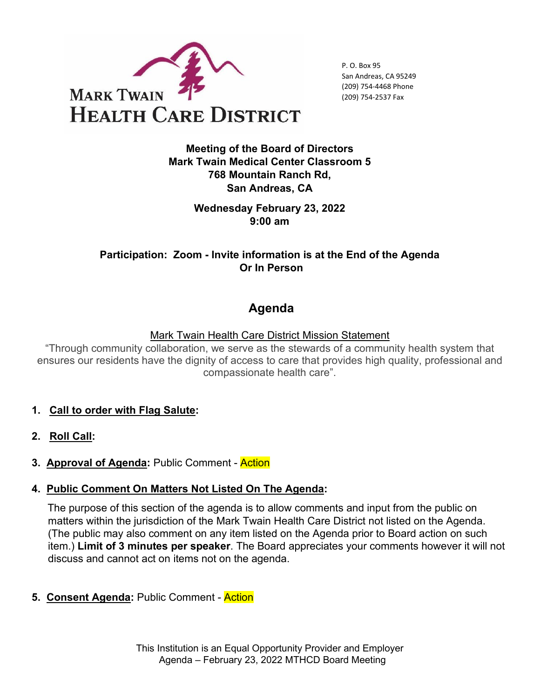

P. O. Box 95 San Andreas, CA 95249 (209) 754-4468 Phone (209) 754-2537 Fax

**Meeting of the Board of Directors Mark Twain Medical Center Classroom 5 768 Mountain Ranch Rd, San Andreas, CA** 

> **Wednesday February 23, 2022 9:00 am**

**Participation: Zoom - Invite information is at the End of the Agenda Or In Person**

# **Agenda**

Mark Twain Health Care District Mission Statement

"Through community collaboration, we serve as the stewards of a community health system that ensures our residents have the dignity of access to care that provides high quality, professional and compassionate health care".

- **1. Call to order with Flag Salute:**
- **2. Roll Call:**
- **3. Approval of Agenda:** Public Comment Action

#### **4. Public Comment On Matters Not Listed On The Agenda:**

The purpose of this section of the agenda is to allow comments and input from the public on matters within the jurisdiction of the Mark Twain Health Care District not listed on the Agenda. (The public may also comment on any item listed on the Agenda prior to Board action on such item.) **Limit of 3 minutes per speaker**. The Board appreciates your comments however it will not discuss and cannot act on items not on the agenda.

**5. Consent Agenda:** Public Comment - Action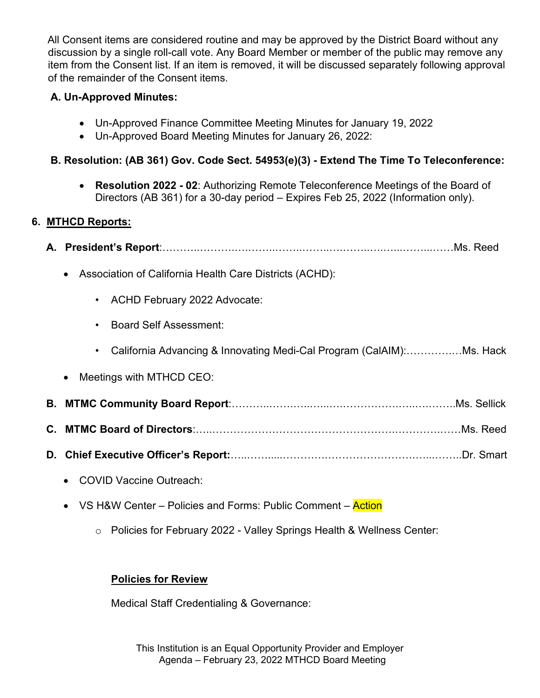All Consent items are considered routine and may be approved by the District Board without any discussion by a single roll-call vote. Any Board Member or member of the public may remove any item from the Consent list. If an item is removed, it will be discussed separately following approval of the remainder of the Consent items.

## **A. Un-Approved Minutes:**

- Un-Approved Finance Committee Meeting Minutes for January 19, 2022
- Un-Approved Board Meeting Minutes for January 26, 2022:

## **B. Resolution: (AB 361) Gov. Code Sect. 54953(e)(3) - Extend The Time To Teleconference:**

• **Resolution 2022 - 02**: Authorizing Remote Teleconference Meetings of the Board of Directors (AB 361) for a 30-day period – Expires Feb 25, 2022 (Information only).

## **6. MTHCD Reports:**

| Association of California Health Care Districts (ACHD):<br>$\bullet$              |
|-----------------------------------------------------------------------------------|
| • ACHD February 2022 Advocate:                                                    |
| <b>Board Self Assessment:</b><br>$\bullet$                                        |
| California Advancing & Innovating Medi-Cal Program (CalAIM):Ms. Hack<br>$\bullet$ |
| Meetings with MTHCD CEO:<br>$\bullet$                                             |
|                                                                                   |
|                                                                                   |
|                                                                                   |
| <b>COVID Vaccine Outreach:</b>                                                    |

- VS H&W Center Policies and Forms: Public Comment Action
	- o Policies for February 2022 Valley Springs Health & Wellness Center:

# **Policies for Review**

Medical Staff Credentialing & Governance:

This Institution is an Equal Opportunity Provider and Employer Agenda – February 23, 2022 MTHCD Board Meeting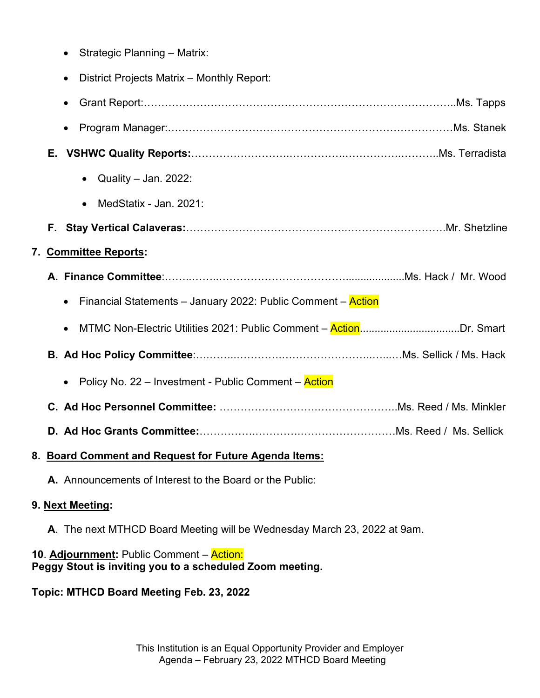|                       |    | Strategic Planning - Matrix:                                       |
|-----------------------|----|--------------------------------------------------------------------|
|                       |    | District Projects Matrix - Monthly Report:                         |
|                       |    | $\bullet$                                                          |
|                       |    |                                                                    |
|                       | Е. |                                                                    |
|                       |    | Quality - Jan. 2022:<br>$\bullet$                                  |
|                       |    | MedStatix - Jan. 2021:                                             |
|                       |    |                                                                    |
| 7. Committee Reports: |    |                                                                    |
|                       |    |                                                                    |
|                       |    | Financial Statements - January 2022: Public Comment - Action       |
|                       |    | MTMC Non-Electric Utilities 2021: Public Comment - ActionDr. Smart |
|                       |    |                                                                    |
|                       |    | • Policy No. 22 – Investment - Public Comment – Action             |
|                       |    |                                                                    |
|                       |    |                                                                    |
|                       |    |                                                                    |

#### **8. Board Comment and Request for Future Agenda Items:**

**A.** Announcements of Interest to the Board or the Public:

#### **9. Next Meeting:**

**A**. The next MTHCD Board Meeting will be Wednesday March 23, 2022 at 9am.

# **10**. **Adjournment:** Public Comment – Action: **Peggy Stout is inviting you to a scheduled Zoom meeting.**

**Topic: MTHCD Board Meeting Feb. 23, 2022**